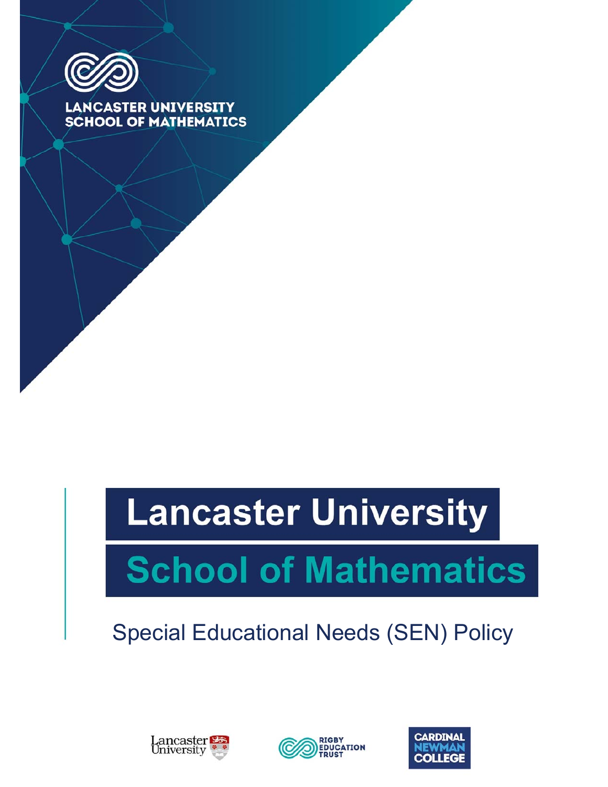

**LANCASTER UNIVERSITY SCHOOL OF MATHEMATICS** 

# **Lancaster University**

# **School of Mathematics**

# Special Educational Needs (SEN) Policy





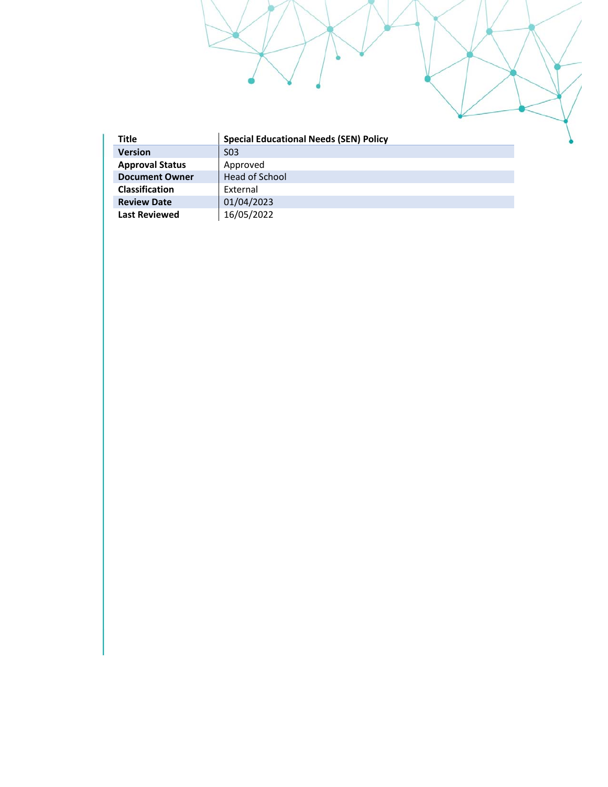| <b>Title</b>           | <b>Special Educational Needs (SEN) Policy</b> |
|------------------------|-----------------------------------------------|
| <b>Version</b>         | S <sub>0</sub> 3                              |
| <b>Approval Status</b> | Approved                                      |
| <b>Document Owner</b>  | Head of School                                |
| <b>Classification</b>  | External                                      |
| <b>Review Date</b>     | 01/04/2023                                    |
| <b>Last Reviewed</b>   | 16/05/2022                                    |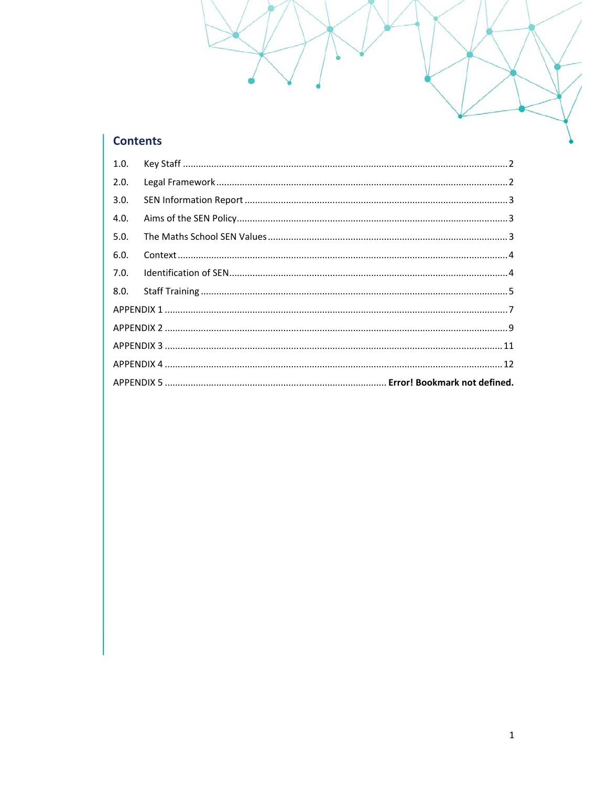# **Contents**

| 1.0. |  |  |
|------|--|--|
| 2.0. |  |  |
| 3.0. |  |  |
| 4.0. |  |  |
| 5.0. |  |  |
| 6.0. |  |  |
| 7.0. |  |  |
| 8.0. |  |  |
|      |  |  |
|      |  |  |
|      |  |  |
|      |  |  |
|      |  |  |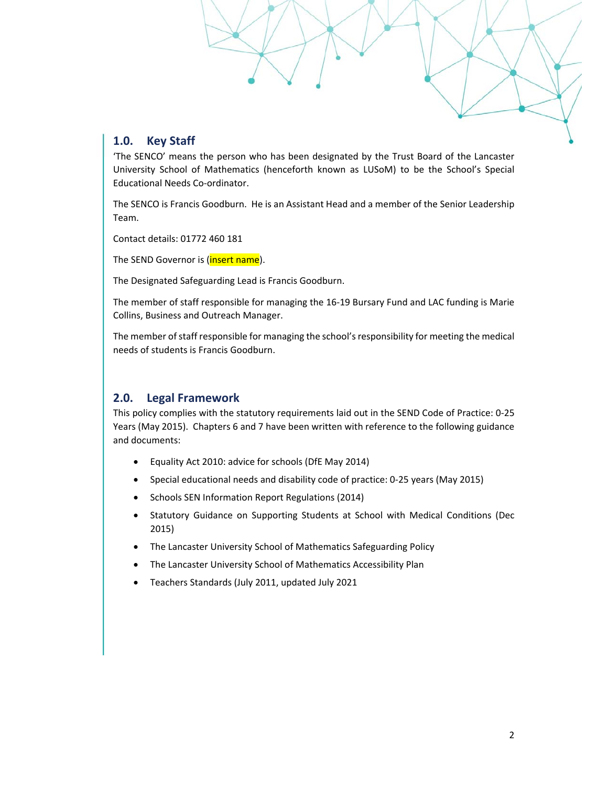# **1.0. Key Staff**

'The SENCO' means the person who has been designated by the Trust Board of the Lancaster University School of Mathematics (henceforth known as LUSoM) to be the School's Special Educational Needs Co‐ordinator.

The SENCO is Francis Goodburn. He is an Assistant Head and a member of the Senior Leadership Team.

Contact details: 01772 460 181

The SEND Governor is (*insert name*).

The Designated Safeguarding Lead is Francis Goodburn.

The member of staff responsible for managing the 16‐19 Bursary Fund and LAC funding is Marie Collins, Business and Outreach Manager.

The member of staff responsible for managing the school's responsibility for meeting the medical needs of students is Francis Goodburn.

# **2.0. Legal Framework**

This policy complies with the statutory requirements laid out in the SEND Code of Practice: 0‐25 Years (May 2015). Chapters 6 and 7 have been written with reference to the following guidance and documents:

- Equality Act 2010: advice for schools (DfE May 2014)
- Special educational needs and disability code of practice: 0-25 years (May 2015)
- Schools SEN Information Report Regulations (2014)
- Statutory Guidance on Supporting Students at School with Medical Conditions (Dec 2015)
- The Lancaster University School of Mathematics Safeguarding Policy
- The Lancaster University School of Mathematics Accessibility Plan
- Teachers Standards (July 2011, updated July 2021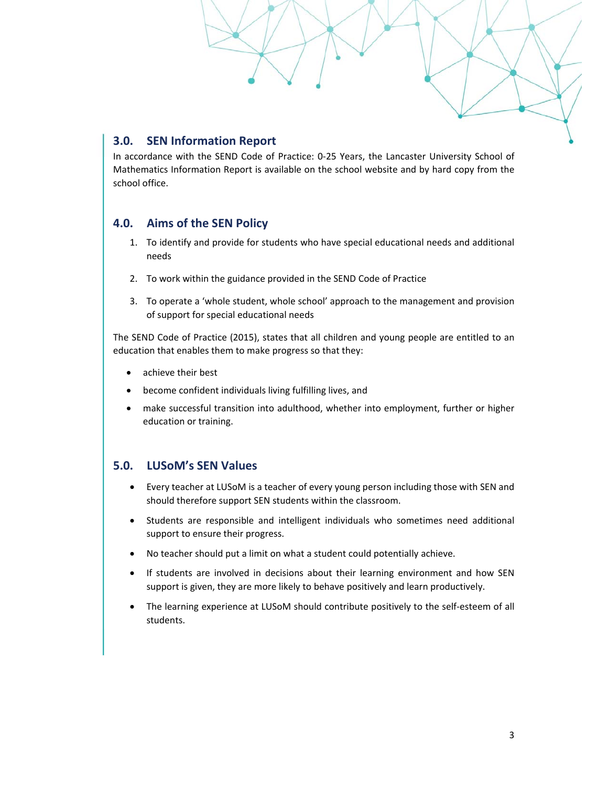# **3.0. SEN Information Report**

In accordance with the SEND Code of Practice: 0‐25 Years, the Lancaster University School of Mathematics Information Report is available on the school website and by hard copy from the school office.

# **4.0. Aims of the SEN Policy**

- 1. To identify and provide for students who have special educational needs and additional needs
- 2. To work within the guidance provided in the SEND Code of Practice
- 3. To operate a 'whole student, whole school' approach to the management and provision of support for special educational needs

The SEND Code of Practice (2015), states that all children and young people are entitled to an education that enables them to make progress so that they:

- achieve their best
- become confident individuals living fulfilling lives, and
- make successful transition into adulthood, whether into employment, further or higher education or training.

# **5.0. LUSoM's SEN Values**

- Every teacher at LUSoM is a teacher of every young person including those with SEN and should therefore support SEN students within the classroom.
- Students are responsible and intelligent individuals who sometimes need additional support to ensure their progress.
- No teacher should put a limit on what a student could potentially achieve.
- If students are involved in decisions about their learning environment and how SEN support is given, they are more likely to behave positively and learn productively.
- The learning experience at LUSoM should contribute positively to the self-esteem of all students.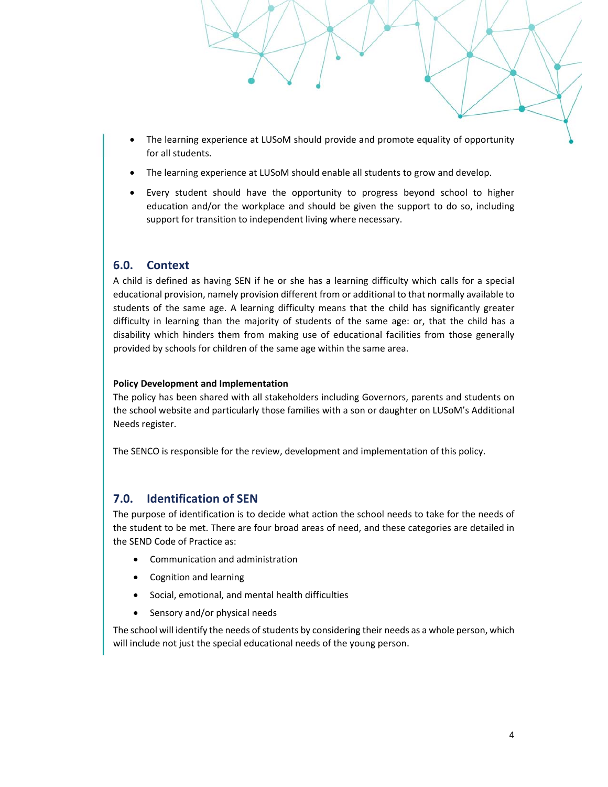- The learning experience at LUSoM should provide and promote equality of opportunity for all students.
- The learning experience at LUSoM should enable all students to grow and develop.
- Every student should have the opportunity to progress beyond school to higher education and/or the workplace and should be given the support to do so, including support for transition to independent living where necessary.

#### **6.0. Context**

A child is defined as having SEN if he or she has a learning difficulty which calls for a special educational provision, namely provision different from or additional to that normally available to students of the same age. A learning difficulty means that the child has significantly greater difficulty in learning than the majority of students of the same age: or, that the child has a disability which hinders them from making use of educational facilities from those generally provided by schools for children of the same age within the same area.

#### **Policy Development and Implementation**

The policy has been shared with all stakeholders including Governors, parents and students on the school website and particularly those families with a son or daughter on LUSoM's Additional Needs register.

The SENCO is responsible for the review, development and implementation of this policy.

#### **7.0. Identification of SEN**

The purpose of identification is to decide what action the school needs to take for the needs of the student to be met. There are four broad areas of need, and these categories are detailed in the SEND Code of Practice as:

- Communication and administration
- Cognition and learning
- Social, emotional, and mental health difficulties
- Sensory and/or physical needs

The school will identify the needs of students by considering their needs as a whole person, which will include not just the special educational needs of the young person.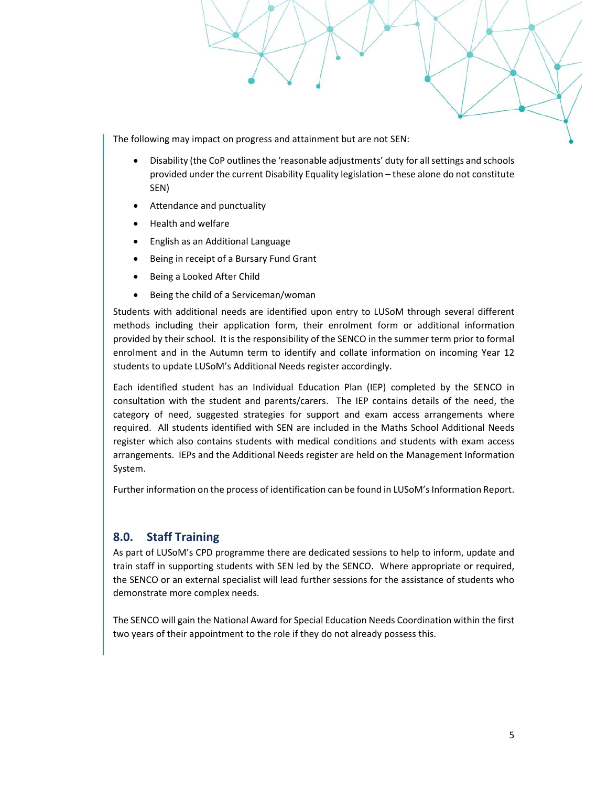The following may impact on progress and attainment but are not SEN:

- Disability (the CoP outlines the 'reasonable adjustments' duty for all settings and schools provided under the current Disability Equality legislation – these alone do not constitute SEN)
- Attendance and punctuality
- Health and welfare
- English as an Additional Language
- Being in receipt of a Bursary Fund Grant
- Being a Looked After Child
- Being the child of a Serviceman/woman

Students with additional needs are identified upon entry to LUSoM through several different methods including their application form, their enrolment form or additional information provided by their school. It is the responsibility of the SENCO in the summer term prior to formal enrolment and in the Autumn term to identify and collate information on incoming Year 12 students to update LUSoM's Additional Needs register accordingly.

Each identified student has an Individual Education Plan (IEP) completed by the SENCO in consultation with the student and parents/carers. The IEP contains details of the need, the category of need, suggested strategies for support and exam access arrangements where required. All students identified with SEN are included in the Maths School Additional Needs register which also contains students with medical conditions and students with exam access arrangements. IEPs and the Additional Needs register are held on the Management Information System.

Further information on the process of identification can be found in LUSoM's Information Report.

#### **8.0. Staff Training**

As part of LUSoM's CPD programme there are dedicated sessions to help to inform, update and train staff in supporting students with SEN led by the SENCO. Where appropriate or required, the SENCO or an external specialist will lead further sessions for the assistance of students who demonstrate more complex needs.

The SENCO will gain the National Award for Special Education Needs Coordination within the first two years of their appointment to the role if they do not already possess this.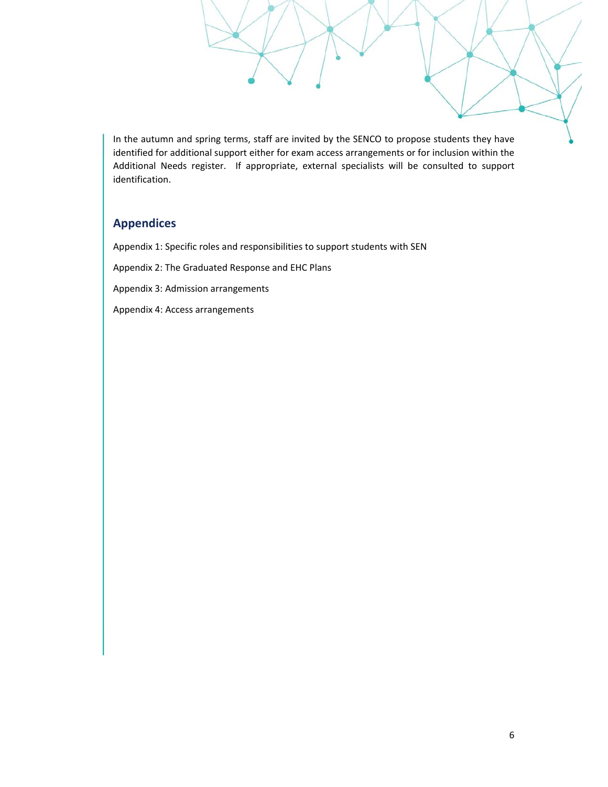In the autumn and spring terms, staff are invited by the SENCO to propose students they have identified for additional support either for exam access arrangements or for inclusion within the Additional Needs register. If appropriate, external specialists will be consulted to support identification.

# **Appendices**

Appendix 1: Specific roles and responsibilities to support students with SEN

Appendix 2: The Graduated Response and EHC Plans

Appendix 3: Admission arrangements

Appendix 4: Access arrangements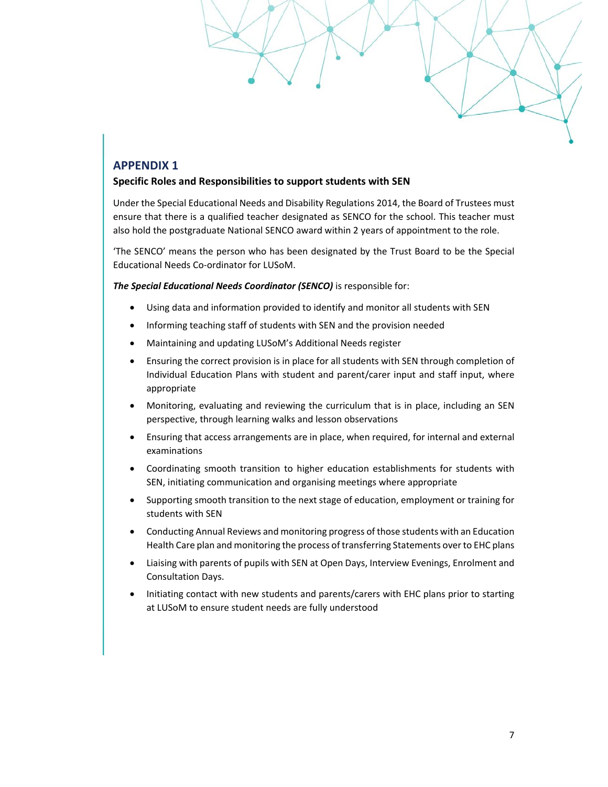#### **Specific Roles and Responsibilities to support students with SEN**

Under the Special Educational Needs and Disability Regulations 2014, the Board of Trustees must ensure that there is a qualified teacher designated as SENCO for the school. This teacher must also hold the postgraduate National SENCO award within 2 years of appointment to the role.

'The SENCO' means the person who has been designated by the Trust Board to be the Special Educational Needs Co‐ordinator for LUSoM.

*The Special Educational Needs Coordinator (SENCO)* is responsible for:

- Using data and information provided to identify and monitor all students with SEN
- Informing teaching staff of students with SEN and the provision needed
- Maintaining and updating LUSoM's Additional Needs register
- Ensuring the correct provision is in place for all students with SEN through completion of Individual Education Plans with student and parent/carer input and staff input, where appropriate
- Monitoring, evaluating and reviewing the curriculum that is in place, including an SEN perspective, through learning walks and lesson observations
- Ensuring that access arrangements are in place, when required, for internal and external examinations
- Coordinating smooth transition to higher education establishments for students with SEN, initiating communication and organising meetings where appropriate
- Supporting smooth transition to the next stage of education, employment or training for students with SEN
- Conducting Annual Reviews and monitoring progress of those students with an Education Health Care plan and monitoring the process of transferring Statements over to EHC plans
- Liaising with parents of pupils with SEN at Open Days, Interview Evenings, Enrolment and Consultation Days.
- Initiating contact with new students and parents/carers with EHC plans prior to starting at LUSoM to ensure student needs are fully understood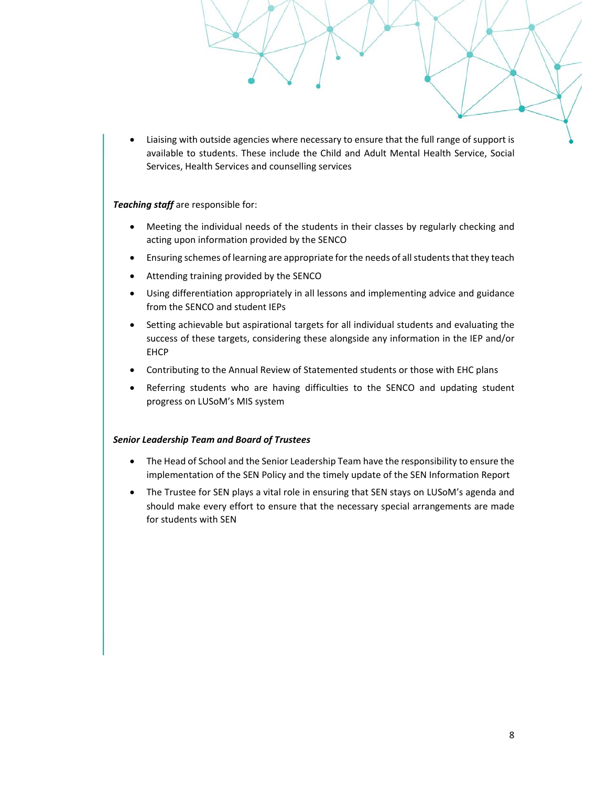Liaising with outside agencies where necessary to ensure that the full range of support is available to students. These include the Child and Adult Mental Health Service, Social Services, Health Services and counselling services

#### *Teaching staff* are responsible for:

- Meeting the individual needs of the students in their classes by regularly checking and acting upon information provided by the SENCO
- Ensuring schemes of learning are appropriate for the needs of all students that they teach
- Attending training provided by the SENCO
- Using differentiation appropriately in all lessons and implementing advice and guidance from the SENCO and student IEPs
- Setting achievable but aspirational targets for all individual students and evaluating the success of these targets, considering these alongside any information in the IEP and/or **FHCP**
- Contributing to the Annual Review of Statemented students or those with EHC plans
- Referring students who are having difficulties to the SENCO and updating student progress on LUSoM's MIS system

#### *Senior Leadership Team and Board of Trustees*

- The Head of School and the Senior Leadership Team have the responsibility to ensure the implementation of the SEN Policy and the timely update of the SEN Information Report
- The Trustee for SEN plays a vital role in ensuring that SEN stays on LUSoM's agenda and should make every effort to ensure that the necessary special arrangements are made for students with SEN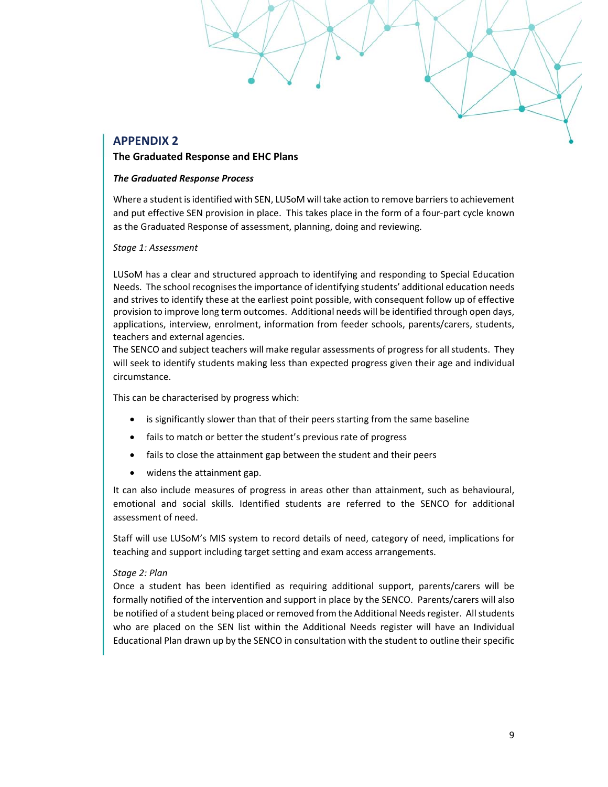#### **The Graduated Response and EHC Plans**

#### *The Graduated Response Process*

Where a student is identified with SEN, LUSoM will take action to remove barriers to achievement and put effective SEN provision in place. This takes place in the form of a four‐part cycle known as the Graduated Response of assessment, planning, doing and reviewing.

*Stage 1: Assessment* 

LUSoM has a clear and structured approach to identifying and responding to Special Education Needs. The school recognises the importance of identifying students' additional education needs and strives to identify these at the earliest point possible, with consequent follow up of effective provision to improve long term outcomes. Additional needs will be identified through open days, applications, interview, enrolment, information from feeder schools, parents/carers, students, teachers and external agencies.

The SENCO and subject teachers will make regular assessments of progress for all students. They will seek to identify students making less than expected progress given their age and individual circumstance.

This can be characterised by progress which:

- is significantly slower than that of their peers starting from the same baseline
- fails to match or better the student's previous rate of progress
- fails to close the attainment gap between the student and their peers
- widens the attainment gap.

It can also include measures of progress in areas other than attainment, such as behavioural, emotional and social skills. Identified students are referred to the SENCO for additional assessment of need.

Staff will use LUSoM's MIS system to record details of need, category of need, implications for teaching and support including target setting and exam access arrangements.

#### *Stage 2: Plan*

Once a student has been identified as requiring additional support, parents/carers will be formally notified of the intervention and support in place by the SENCO. Parents/carers will also be notified of a student being placed or removed from the Additional Needs register. All students who are placed on the SEN list within the Additional Needs register will have an Individual Educational Plan drawn up by the SENCO in consultation with the student to outline their specific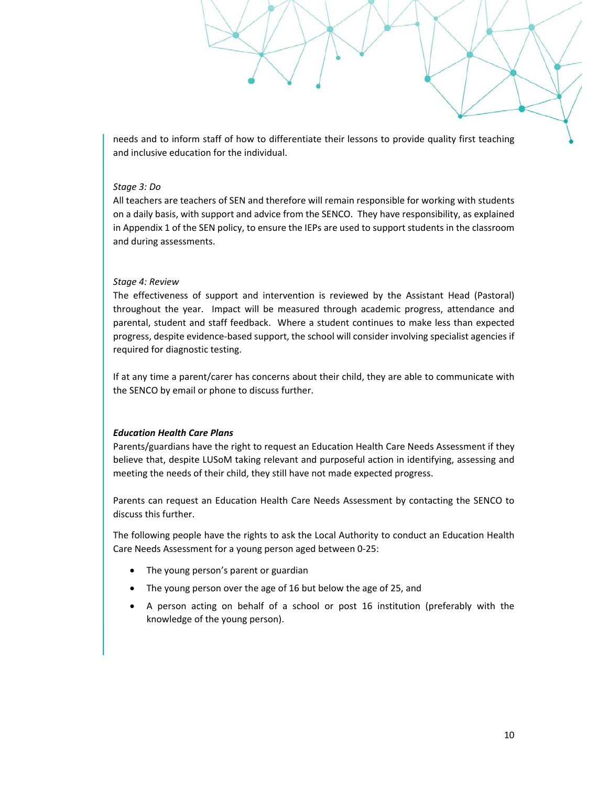needs and to inform staff of how to differentiate their lessons to provide quality first teaching and inclusive education for the individual.

#### *Stage 3: Do*

All teachers are teachers of SEN and therefore will remain responsible for working with students on a daily basis, with support and advice from the SENCO. They have responsibility, as explained in Appendix 1 of the SEN policy, to ensure the IEPs are used to support students in the classroom and during assessments.

#### *Stage 4: Review*

The effectiveness of support and intervention is reviewed by the Assistant Head (Pastoral) throughout the year. Impact will be measured through academic progress, attendance and parental, student and staff feedback. Where a student continues to make less than expected progress, despite evidence‐based support, the school will consider involving specialist agencies if required for diagnostic testing.

If at any time a parent/carer has concerns about their child, they are able to communicate with the SENCO by email or phone to discuss further.

#### *Education Health Care Plans*

Parents/guardians have the right to request an Education Health Care Needs Assessment if they believe that, despite LUSoM taking relevant and purposeful action in identifying, assessing and meeting the needs of their child, they still have not made expected progress.

Parents can request an Education Health Care Needs Assessment by contacting the SENCO to discuss this further.

The following people have the rights to ask the Local Authority to conduct an Education Health Care Needs Assessment for a young person aged between 0‐25:

- The young person's parent or guardian
- The young person over the age of 16 but below the age of 25, and
- A person acting on behalf of a school or post 16 institution (preferably with the knowledge of the young person).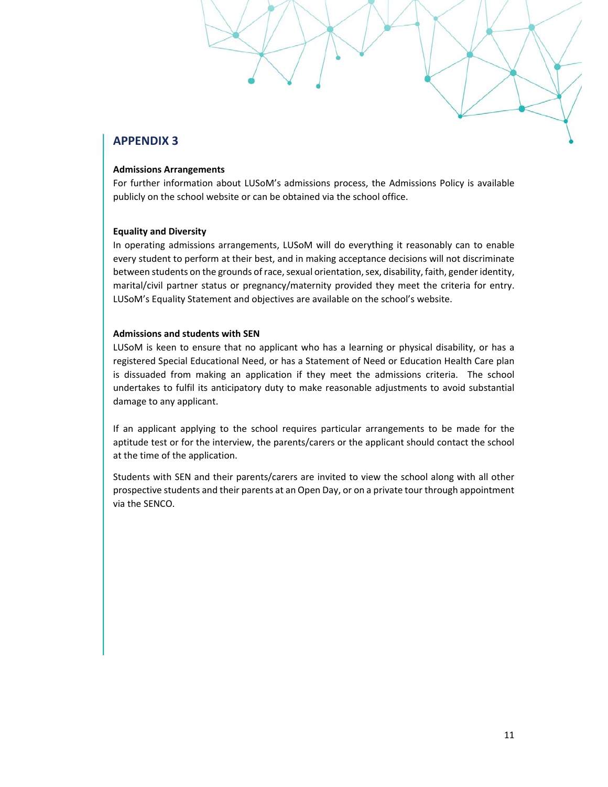#### **Admissions Arrangements**

For further information about LUSoM's admissions process, the Admissions Policy is available publicly on the school website or can be obtained via the school office.

#### **Equality and Diversity**

In operating admissions arrangements, LUSoM will do everything it reasonably can to enable every student to perform at their best, and in making acceptance decisions will not discriminate between students on the grounds of race, sexual orientation, sex, disability, faith, gender identity, marital/civil partner status or pregnancy/maternity provided they meet the criteria for entry. LUSoM's Equality Statement and objectives are available on the school's website.

#### **Admissions and students with SEN**

LUSoM is keen to ensure that no applicant who has a learning or physical disability, or has a registered Special Educational Need, or has a Statement of Need or Education Health Care plan is dissuaded from making an application if they meet the admissions criteria. The school undertakes to fulfil its anticipatory duty to make reasonable adjustments to avoid substantial damage to any applicant.

If an applicant applying to the school requires particular arrangements to be made for the aptitude test or for the interview, the parents/carers or the applicant should contact the school at the time of the application.

Students with SEN and their parents/carers are invited to view the school along with all other prospective students and their parents at an Open Day, or on a private tour through appointment via the SENCO.